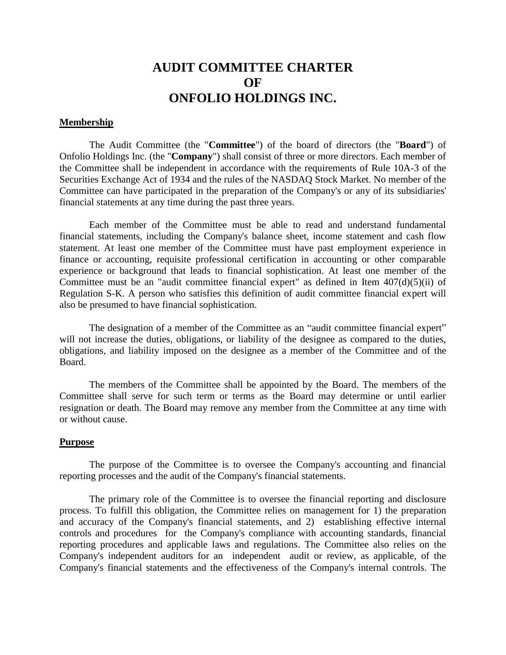# **AUDIT COMMITTEE CHARTER OF ONFOLIO HOLDINGS INC.**

## **Membership**

The Audit Committee (the "**Committee**") of the board of directors (the "**Board**") of Onfolio Holdings Inc. (the "**Company**") shall consist of three or more directors. Each member of the Committee shall be independent in accordance with the requirements of Rule 10A-3 of the Securities Exchange Act of 1934 and the rules of the NASDAQ Stock Market. No member of the Committee can have participated in the preparation of the Company's or any of its subsidiaries' financial statements at any time during the past three years.

Each member of the Committee must be able to read and understand fundamental financial statements, including the Company's balance sheet, income statement and cash flow statement. At least one member of the Committee must have past employment experience in finance or accounting, requisite professional certification in accounting or other comparable experience or background that leads to financial sophistication. At least one member of the Committee must be an "audit committee financial expert" as defined in Item  $407(d)(5)(ii)$  of Regulation S-K. A person who satisfies this definition of audit committee financial expert will also be presumed to have financial sophistication.

The designation of a member of the Committee as an "audit committee financial expert" will not increase the duties, obligations, or liability of the designee as compared to the duties, obligations, and liability imposed on the designee as a member of the Committee and of the Board.

The members of the Committee shall be appointed by the Board. The members of the Committee shall serve for such term or terms as the Board may determine or until earlier resignation or death. The Board may remove any member from the Committee at any time with or without cause.

## **Purpose**

The purpose of the Committee is to oversee the Company's accounting and financial reporting processes and the audit of the Company's financial statements.

The primary role of the Committee is to oversee the financial reporting and disclosure process. To fulfill this obligation, the Committee relies on management for 1) the preparation and accuracy of the Company's financial statements, and 2) establishing effective internal controls and procedures for the Company's compliance with accounting standards, financial reporting procedures and applicable laws and regulations. The Committee also relies on the Company's independent auditors for an independent audit or review, as applicable, of the Company's financial statements and the effectiveness of the Company's internal controls. The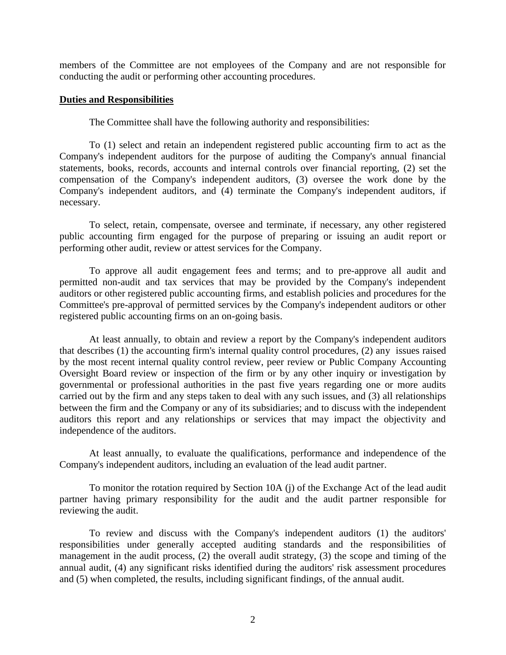members of the Committee are not employees of the Company and are not responsible for conducting the audit or performing other accounting procedures.

## **Duties and Responsibilities**

The Committee shall have the following authority and responsibilities:

To (1) select and retain an independent registered public accounting firm to act as the Company's independent auditors for the purpose of auditing the Company's annual financial statements, books, records, accounts and internal controls over financial reporting, (2) set the compensation of the Company's independent auditors, (3) oversee the work done by the Company's independent auditors, and (4) terminate the Company's independent auditors, if necessary.

To select, retain, compensate, oversee and terminate, if necessary, any other registered public accounting firm engaged for the purpose of preparing or issuing an audit report or performing other audit, review or attest services for the Company.

To approve all audit engagement fees and terms; and to pre-approve all audit and permitted non-audit and tax services that may be provided by the Company's independent auditors or other registered public accounting firms, and establish policies and procedures for the Committee's pre-approval of permitted services by the Company's independent auditors or other registered public accounting firms on an on-going basis.

At least annually, to obtain and review a report by the Company's independent auditors that describes (1) the accounting firm's internal quality control procedures, (2) any issues raised by the most recent internal quality control review, peer review or Public Company Accounting Oversight Board review or inspection of the firm or by any other inquiry or investigation by governmental or professional authorities in the past five years regarding one or more audits carried out by the firm and any steps taken to deal with any such issues, and (3) all relationships between the firm and the Company or any of its subsidiaries; and to discuss with the independent auditors this report and any relationships or services that may impact the objectivity and independence of the auditors.

At least annually, to evaluate the qualifications, performance and independence of the Company's independent auditors, including an evaluation of the lead audit partner.

To monitor the rotation required by Section 10A (j) of the Exchange Act of the lead audit partner having primary responsibility for the audit and the audit partner responsible for reviewing the audit.

To review and discuss with the Company's independent auditors (1) the auditors' responsibilities under generally accepted auditing standards and the responsibilities of management in the audit process, (2) the overall audit strategy, (3) the scope and timing of the annual audit, (4) any significant risks identified during the auditors' risk assessment procedures and (5) when completed, the results, including significant findings, of the annual audit.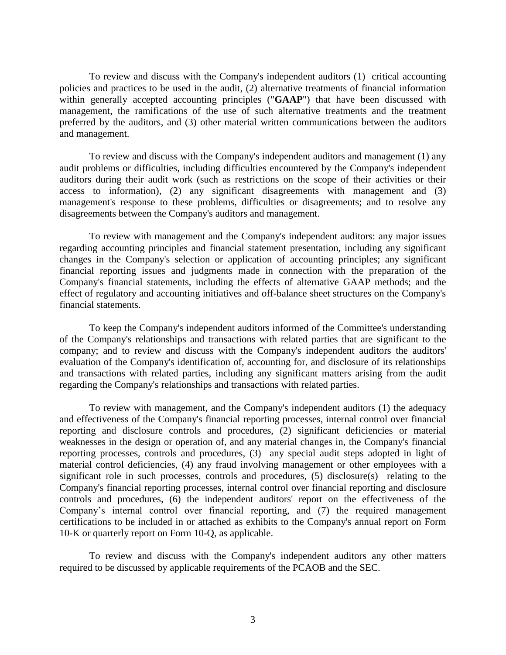To review and discuss with the Company's independent auditors (1) critical accounting policies and practices to be used in the audit, (2) alternative treatments of financial information within generally accepted accounting principles ("**GAAP**") that have been discussed with management, the ramifications of the use of such alternative treatments and the treatment preferred by the auditors, and (3) other material written communications between the auditors and management.

To review and discuss with the Company's independent auditors and management (1) any audit problems or difficulties, including difficulties encountered by the Company's independent auditors during their audit work (such as restrictions on the scope of their activities or their access to information), (2) any significant disagreements with management and (3) management's response to these problems, difficulties or disagreements; and to resolve any disagreements between the Company's auditors and management.

To review with management and the Company's independent auditors: any major issues regarding accounting principles and financial statement presentation, including any significant changes in the Company's selection or application of accounting principles; any significant financial reporting issues and judgments made in connection with the preparation of the Company's financial statements, including the effects of alternative GAAP methods; and the effect of regulatory and accounting initiatives and off-balance sheet structures on the Company's financial statements.

To keep the Company's independent auditors informed of the Committee's understanding of the Company's relationships and transactions with related parties that are significant to the company; and to review and discuss with the Company's independent auditors the auditors' evaluation of the Company's identification of, accounting for, and disclosure of its relationships and transactions with related parties, including any significant matters arising from the audit regarding the Company's relationships and transactions with related parties.

To review with management, and the Company's independent auditors (1) the adequacy and effectiveness of the Company's financial reporting processes, internal control over financial reporting and disclosure controls and procedures, (2) significant deficiencies or material weaknesses in the design or operation of, and any material changes in, the Company's financial reporting processes, controls and procedures, (3) any special audit steps adopted in light of material control deficiencies, (4) any fraud involving management or other employees with a significant role in such processes, controls and procedures, (5) disclosure(s) relating to the Company's financial reporting processes, internal control over financial reporting and disclosure controls and procedures, (6) the independent auditors' report on the effectiveness of the Company's internal control over financial reporting, and (7) the required management certifications to be included in or attached as exhibits to the Company's annual report on Form 10-K or quarterly report on Form 10-Q, as applicable.

To review and discuss with the Company's independent auditors any other matters required to be discussed by applicable requirements of the PCAOB and the SEC.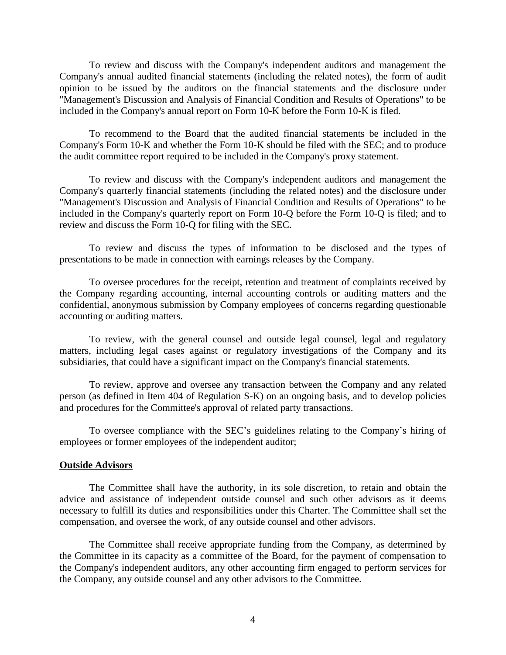To review and discuss with the Company's independent auditors and management the Company's annual audited financial statements (including the related notes), the form of audit opinion to be issued by the auditors on the financial statements and the disclosure under "Management's Discussion and Analysis of Financial Condition and Results of Operations" to be included in the Company's annual report on Form 10-K before the Form 10-K is filed.

To recommend to the Board that the audited financial statements be included in the Company's Form 10-K and whether the Form 10-K should be filed with the SEC; and to produce the audit committee report required to be included in the Company's proxy statement.

To review and discuss with the Company's independent auditors and management the Company's quarterly financial statements (including the related notes) and the disclosure under "Management's Discussion and Analysis of Financial Condition and Results of Operations" to be included in the Company's quarterly report on Form 10-Q before the Form 10-Q is filed; and to review and discuss the Form 10-Q for filing with the SEC.

To review and discuss the types of information to be disclosed and the types of presentations to be made in connection with earnings releases by the Company.

To oversee procedures for the receipt, retention and treatment of complaints received by the Company regarding accounting, internal accounting controls or auditing matters and the confidential, anonymous submission by Company employees of concerns regarding questionable accounting or auditing matters.

To review, with the general counsel and outside legal counsel, legal and regulatory matters, including legal cases against or regulatory investigations of the Company and its subsidiaries, that could have a significant impact on the Company's financial statements.

To review, approve and oversee any transaction between the Company and any related person (as defined in Item 404 of Regulation S-K) on an ongoing basis, and to develop policies and procedures for the Committee's approval of related party transactions.

To oversee compliance with the SEC's guidelines relating to the Company's hiring of employees or former employees of the independent auditor;

### **Outside Advisors**

The Committee shall have the authority, in its sole discretion, to retain and obtain the advice and assistance of independent outside counsel and such other advisors as it deems necessary to fulfill its duties and responsibilities under this Charter. The Committee shall set the compensation, and oversee the work, of any outside counsel and other advisors.

The Committee shall receive appropriate funding from the Company, as determined by the Committee in its capacity as a committee of the Board, for the payment of compensation to the Company's independent auditors, any other accounting firm engaged to perform services for the Company, any outside counsel and any other advisors to the Committee.